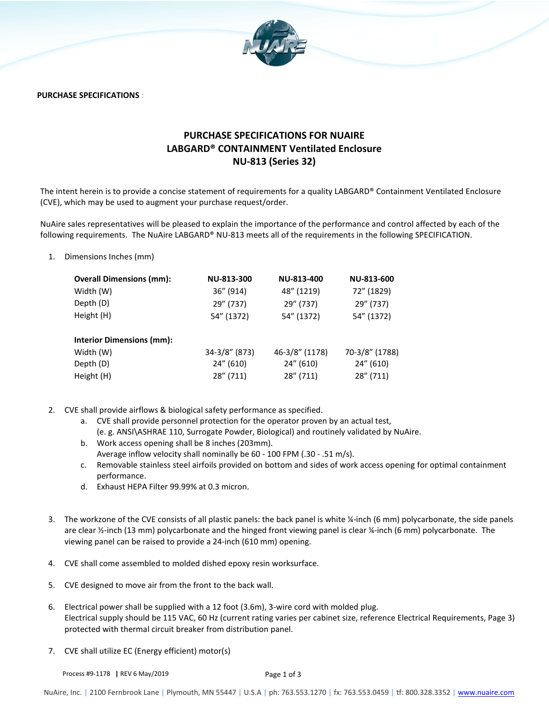

**PURCHASE SPECIFICATIONS :** 

## **PURCHASE SPECIFICATIONS FOR NUAIRE LABGARD® CONTAINMENT Ventilated Enclosure NU-813 (Series 32)**

The intent herein is to provide a concise statement of requirements for a quality LABGARD® Containment Ventilated Enclosure (CVE), which may be used to augment your purchase request/order.

NuAire sales representatives will be pleased to explain the importance of the performance and control affected by each of the following requirements. The NuAire LABGARD® NU-813 meets all of the requirements in the following SPECIFICATION.

1. Dimensions Inches (mm)

| <b>Overall Dimensions (mm):</b>  | NU-813-300    | NU-813-400     | NU-813-600     |
|----------------------------------|---------------|----------------|----------------|
| Width (W)                        | 36" (914)     | 48" (1219)     | 72" (1829)     |
| Depth (D)                        | 29" (737)     | 29" (737)      | 29" (737)      |
| Height (H)                       | 54" (1372)    | 54" (1372)     | 54" (1372)     |
| <b>Interior Dimensions (mm):</b> |               |                |                |
| Width (W)                        | 34-3/8" (873) | 46-3/8" (1178) | 70-3/8" (1788) |
| Depth (D)                        | 24" (610)     | 24" (610)      | 24" (610)      |
| Height (H)                       | 28" (711)     | 28" (711)      | 28" (711)      |

- 2. CVE shall provide airflows & biological safety performance as specified.
	- a. CVE shall provide personnel protection for the operator proven by an actual test, (e. g. ANSI\ASHRAE 110, Surrogate Powder, Biological) and routinely validated by NuAire.
	- b. Work access opening shall be 8 inches (203mm). Average inflow velocity shall nominally be 60 - 100 FPM (.30 - .51 m/s).
	- c. Removable stainless steel airfoils provided on bottom and sides of work access opening for optimal containment performance.
	- d. Exhaust HEPA Filter 99.99% at 0.3 micron.
- 3. The workzone of the CVE consists of all plastic panels: the back panel is white ¼-inch (6 mm) polycarbonate, the side panels are clear  $\frac{1}{2}$ -inch (13 mm) polycarbonate and the hinged front viewing panel is clear ¼-inch (6 mm) polycarbonate. The viewing panel can be raised to provide a 24-inch (610 mm) opening.
- 4. CVE shall come assembled to molded dished epoxy resin worksurface.
- 5. CVE designed to move air from the front to the back wall.
- 6. Electrical power shall be supplied with a 12 foot (3.6m), 3-wire cord with molded plug. Electrical supply should be 115 VAC, 60 Hz (current rating varies per cabinet size, reference Electrical Requirements, Page 3) protected with thermal circuit breaker from distribution panel.
- 7. CVE shall utilize EC (Energy efficient) motor(s)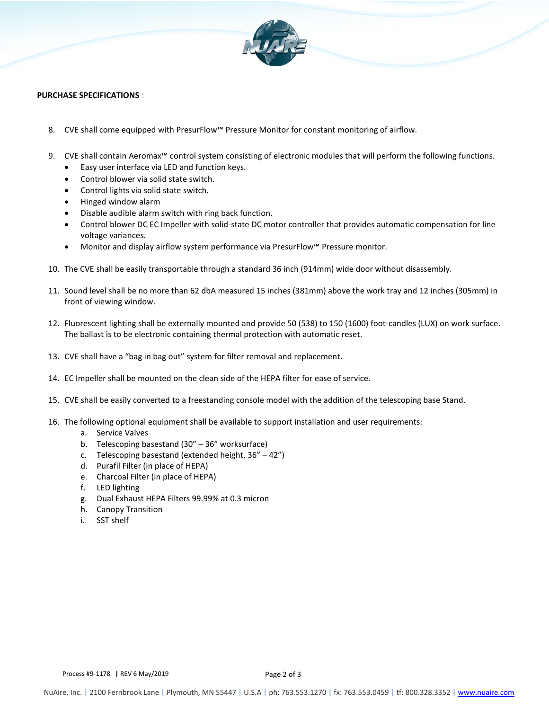

## **PURCHASE SPECIFICATIONS :**

- 8. CVE shall come equipped with PresurFlow™ Pressure Monitor for constant monitoring of airflow.
- 9. CVE shall contain Aeromax™ control system consisting of electronic modules that will perform the following functions.
	- Easy user interface via LED and function keys.
	- Control blower via solid state switch.
	- Control lights via solid state switch.
	- Hinged window alarm
	- Disable audible alarm switch with ring back function.
	- Control blower DC EC Impeller with solid-state DC motor controller that provides automatic compensation for line voltage variances.
	- Monitor and display airflow system performance via PresurFlow™ Pressure monitor.
- 10. The CVE shall be easily transportable through a standard 36 inch (914mm) wide door without disassembly.
- 11. Sound level shall be no more than 62 dbA measured 15 inches (381mm) above the work tray and 12 inches (305mm) in front of viewing window.
- 12. Fluorescent lighting shall be externally mounted and provide 50 (538) to 150 (1600) foot-candles (LUX) on work surface. The ballast is to be electronic containing thermal protection with automatic reset.
- 13. CVE shall have a "bag in bag out" system for filter removal and replacement.
- 14. EC Impeller shall be mounted on the clean side of the HEPA filter for ease of service.
- 15. CVE shall be easily converted to a freestanding console model with the addition of the telescoping base Stand.
- 16. The following optional equipment shall be available to support installation and user requirements:
	- a. Service Valves
	- b. Telescoping basestand (30" 36" worksurface)
	- c. Telescoping basestand (extended height, 36" 42")
	- d. Purafil Filter (in place of HEPA)
	- e. Charcoal Filter (in place of HEPA)
	- f. LED lighting
	- g. Dual Exhaust HEPA Filters 99.99% at 0.3 micron
	- h. Canopy Transition
	- i. SST shelf